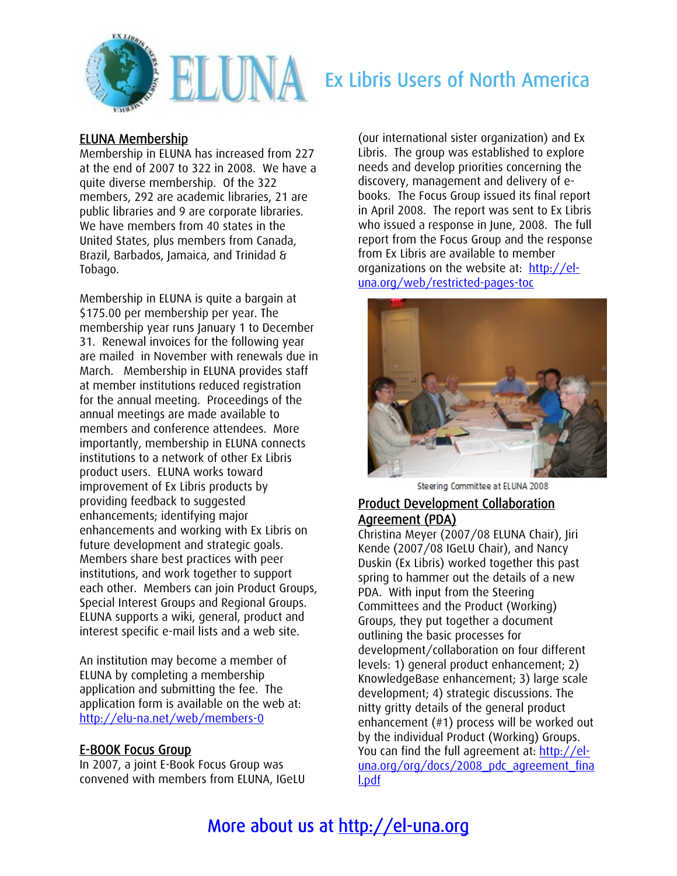

# **ELUMA** Ex Libris Users of North America

#### ELUNA Membership

Membership in ELUNA has increased from 227 at the end of 2007 to 322 in 2008. We have a quite diverse membership. Of the 322 members, 292 are academic libraries, 21 are public libraries and 9 are corporate libraries. We have members from 40 states in the United States, plus members from Canada, Brazil, Barbados, Jamaica, and Trinidad & Tobago.

Membership in ELUNA is quite a bargain at \$175.00 per membership per year. The membership year runs January 1 to December 31. Renewal invoices for the following year are mailed in November with renewals due in March. Membership in ELUNA provides staff at member institutions reduced registration for the annual meeting. Proceedings of the annual meetings are made available to members and conference attendees. More importantly, membership in ELUNA connects institutions to a network of other Ex Libris product users. ELUNA works toward improvement of Ex Libris products by providing feedback to suggested enhancements; identifying major enhancements and working with Ex Libris on future development and strategic goals. Members share best practices with peer institutions, and work together to support each other. Members can join Product Groups, Special Interest Groups and Regional Groups. ELUNA supports a wiki, general, product and interest specific e-mail lists and a web site.

An institution may become a member of ELUNA by completing a membership application and submitting the fee. The application form is available on the web at: <http://elu-na.net/web/members-0>

#### E-BOOK Focus Group

In 2007, a joint E-Book Focus Group was convened with members from ELUNA, IGeLU (our international sister organization) and Ex Libris. The group was established to explore needs and develop priorities concerning the discovery, management and delivery of ebooks. The Focus Group issued its final report in April 2008. The report was sent to Ex Libris who issued a response in June, 2008. The full report from the Focus Group and the response from Ex Libris are available to member organizations on the website at: [http://el](http://el-una.org/web/restricted-pages-toc)[una.org/web/restricted-pages-toc](http://el-una.org/web/restricted-pages-toc)



Steering Committee at ELUNA 2008

#### Product Development Collaboration Agreement (PDA)

Christina Meyer (2007/08 ELUNA Chair), Jiri Kende (2007/08 IGeLU Chair), and Nancy Duskin (Ex Libris) worked together this past spring to hammer out the details of a new PDA. With input from the Steering Committees and the Product (Working) Groups, they put together a document outlining the basic processes for development/collaboration on four different levels: 1) general product enhancement; 2) KnowledgeBase enhancement; 3) large scale development; 4) strategic discussions. The nitty gritty details of the general product enhancement (#1) process will be worked out by the individual Product (Working) Groups. You can find the full agreement at: [http://el](http://el-una.org/org/docs/2008_pdc_agreement_final.pdf)[una.org/org/docs/2008\\_pdc\\_agreement\\_fina](http://el-una.org/org/docs/2008_pdc_agreement_final.pdf) [l.pdf](http://el-una.org/org/docs/2008_pdc_agreement_final.pdf)

## More about us at http://el-una.org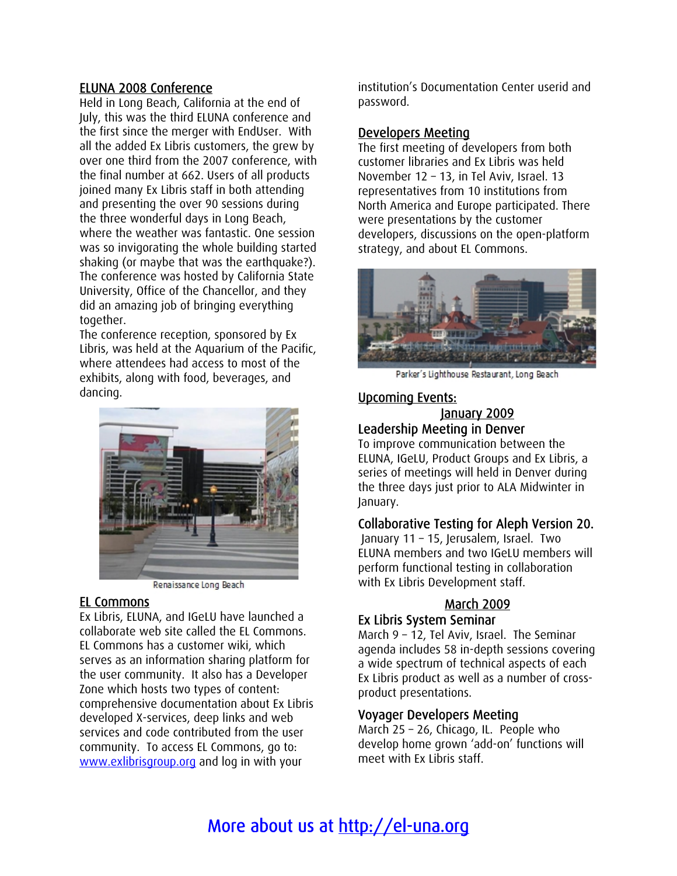#### ELUNA 2008 Conference

Held in Long Beach, California at the end of July, this was the third ELUNA conference and the first since the merger with EndUser. With all the added Ex Libris customers, the grew by over one third from the 2007 conference, with the final number at 662. Users of all products joined many Ex Libris staff in both attending and presenting the over 90 sessions during the three wonderful days in Long Beach, where the weather was fantastic. One session was so invigorating the whole building started shaking (or maybe that was the earthquake?). The conference was hosted by California State University, Office of the Chancellor, and they did an amazing job of bringing everything together.

The conference reception, sponsored by Ex Libris, was held at the Aquarium of the Pacific, where attendees had access to most of the exhibits, along with food, beverages, and dancing.



Renaissance Long Beach

#### EL Commons

Ex Libris, ELUNA, and IGeLU have launched a collaborate web site called the EL Commons. EL Commons has a customer wiki, which serves as an information sharing platform for the user community. It also has a Developer Zone which hosts two types of content: comprehensive documentation about Ex Libris developed X-services, deep links and web services and code contributed from the user community. To access EL Commons, go to: [www.exlibrisgroup.org](http://www.exlibrisgroup.org/) and log in with your

institution's Documentation Center userid and password.

#### Developers Meeting

The first meeting of developers from both customer libraries and Ex Libris was held November 12 – 13, in Tel Aviv, Israel. 13 representatives from 10 institutions fr om North America and Europe participated. There were presentations by the custome r developers, discussions on the open-platform strategy, and about EL Commons.



Parker's Lighthouse Restaurant, Long Beach

#### Upcoming Events:

#### January 2009 Leadership Meeting in Denver

To improve communication between the ELUNA, IGeLU, Product Groups and Ex Libris, a series of meetings will held in Denver during the three days just prior to ALA Midwinter in January.

#### Collaborative Testing for Aleph Version 20.

 January 11 – 15, Jerusalem, Israel. Two ELUNA members and two IGeLU members will perform functional testing in collaboration with Ex Libris Development staff.

### March 2009

#### Ex Libris System Seminar

March 9 – 12, Tel Aviv, Israel. The Seminar agenda includes 58 in-depth sessions covering a wide spectrum of technical aspects of each Ex Libris product as well as a number of crossproduct presentations.

#### Voyager Developers Meeting

l develop home grown 'add-on' functions wil meet with Ex Libris staff. March 25 – 26, Chicago, IL. People who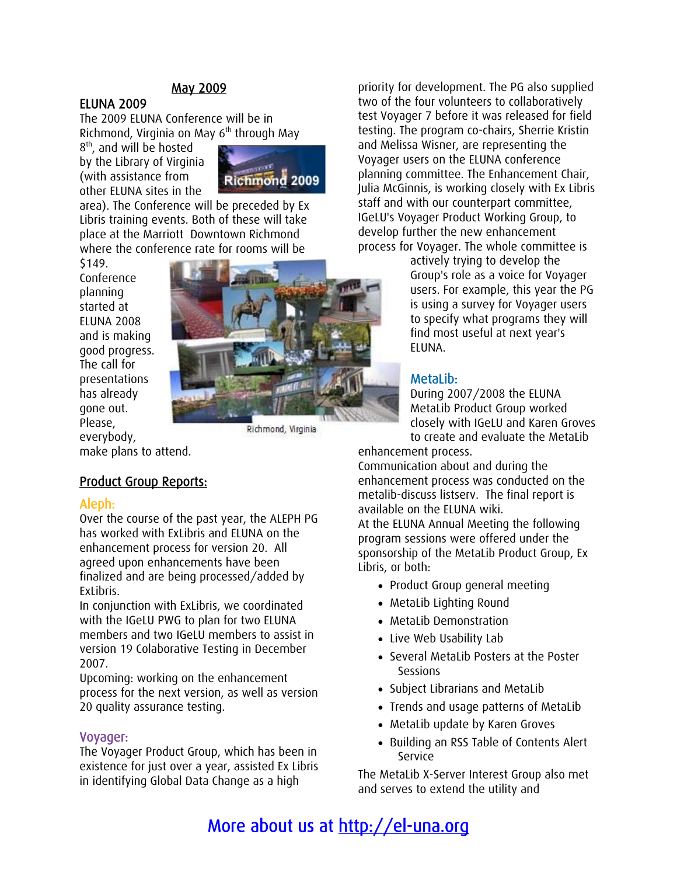#### May 2009

#### ELUNA 2009

Richmond, Virginia on May 6<sup>th</sup> through May The 2009 ELUNA Conference will be in

by the Library of Virginia 8<sup>th</sup>, and will be hosted (with assistance from other ELUNA sites in the



where the conference rate for rooms will be area). The Conference will be preceded by Ex Libris training events. Both of these will take place at the Marriott Downtown Richmond

Conference good progress. presentations gone out. \$149. planning started at ELUNA 2008 and is making The call for has already Please, everybody,



Richmond, Virginia

make plans to attend.

#### <u>Product Group Reports:</u>

#### Aleph:

Over the course of the past year, the ALEPH PG has worked with ExLibris and ELUNA on the finalized and are being processed/added by enhancement process for version 20. All agreed upon enhancements have been ExLibris.

version 19 Colaborative Testing in December In conjunction with ExLibris, we coordinated with the IGeLU PWG to plan for two ELUNA members and two IGeLU members to assist in 2007.

process for the next version, as well as version 20 quality assurance testing. Upcoming: working on the enhancement

#### Voyager:

existence for just over a year, assisted Ex Libris in identifying Global Data Change as a high The Voyager Product Group, which has been in

process for Voyager. The whole committee is priority for development. The PG also supplied two of the four volunteers to collaboratively test Voyager 7 before it was released for field testing. The program co-chairs, Sherrie Kristin and Melissa Wisner, are representing the Voyager users on the ELUNA conference planning committee. The Enhancement Chair, Julia McGinnis, is working closely with Ex Libris staff and with our counterpart committee, IGeLU's Voyager Product Working Group, to develop further the new enhancement

is using a survey for Voyager users to specify what programs they will actively trying to develop the Group's role as a voice for Voyager users. For example, this year the PG find most useful at next year's ELUNA.

#### MetaLib:

to create and evaluate the MetaLib During 2007/2008 the ELUNA MetaLib Product Group worked closely with IGeLU and Karen Groves

enhancement process.

Communication about and during the enhancement process was conducted on the metalib-discuss listserv. The final report is available on the ELUNA wiki.

At the ELUNA Annual Meeting the following program sessions were offered under the sponsorship of the MetaLib Product Group, Ex Libris, or both:

- Product Group general meeting
- MetaLib Lighting Round
- MetaLib Demonstration
- Live Web Usability Lab
- Several MetaLib Posters at the Poster Sessions
- Subject Librarians and MetaLib
- Trends and usage patterns of MetaLib
- MetaLib update by Karen Groves
- Building an RSS Table of Contents Alert Service

The MetaLib X-Server Interest Group also met and serves to extend the utility and

## More about us at http://el-una.org